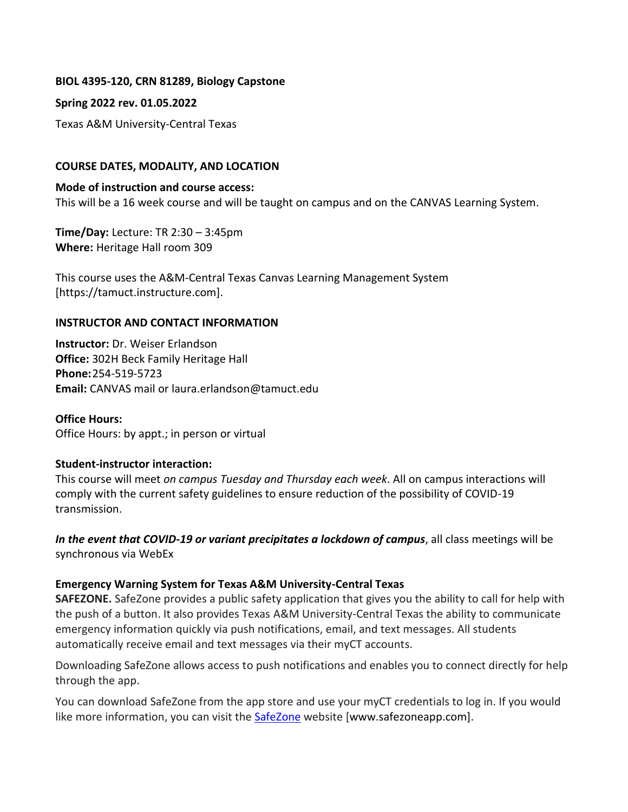#### **BIOL 4395-120, CRN 81289, Biology Capstone**

#### **Spring 2022 rev. 01.05.2022**

Texas A&M University-Central Texas

#### **COURSE DATES, MODALITY, AND LOCATION**

**Mode of instruction and course access:**  This will be a 16 week course and will be taught on campus and on the CANVAS Learning System.

**Time/Day:** Lecture: TR 2:30 – 3:45pm **Where:** Heritage Hall room 309

This course uses the A&M-Central Texas Canvas Learning Management System [https://tamuct.instructure.com].

#### **INSTRUCTOR AND CONTACT INFORMATION**

**Instructor:** Dr. Weiser Erlandson **Office:** 302H Beck Family Heritage Hall **Phone:**254-519-5723 **Email:** CANVAS mail or laura.erlandson@tamuct.edu

**Office Hours:**  Office Hours: by appt.; in person or virtual

#### **Student-instructor interaction:**

This course will meet *on campus Tuesday and Thursday each week*. All on campus interactions will comply with the current safety guidelines to ensure reduction of the possibility of COVID-19 transmission.

*In the event that COVID-19 or variant precipitates a lockdown of campus*, all class meetings will be synchronous via WebEx

#### **Emergency Warning System for Texas A&M University-Central Texas**

**SAFEZONE.** SafeZone provides a public safety application that gives you the ability to call for help with the push of a button. It also provides Texas A&M University-Central Texas the ability to communicate emergency information quickly via push notifications, email, and text messages. All students automatically receive email and text messages via their myCT accounts.

Downloading SafeZone allows access to push notifications and enables you to connect directly for help through the app.

You can download SafeZone from the app store and use your myCT credentials to log in. If you would like more information, you can visit the [SafeZone](http://www.safezoneapp.com/) website [www.safezoneapp.com].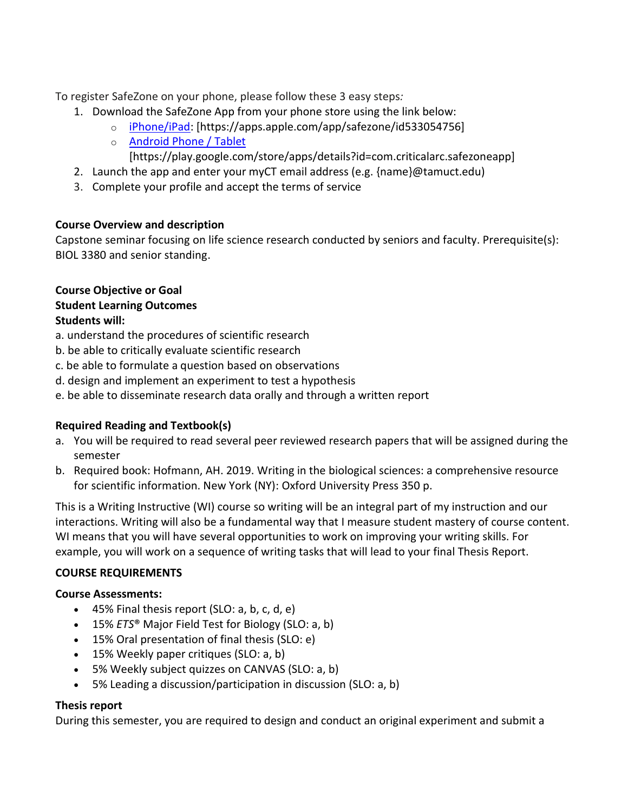To register SafeZone on your phone, please follow these 3 easy steps*:*

- 1. Download the SafeZone App from your phone store using the link below:
	- o [iPhone/iPad:](https://apps.apple.com/app/safezone/id533054756) [https://apps.apple.com/app/safezone/id533054756]
	- o [Android Phone / Tablet](https://play.google.com/store/apps/details?id=com.criticalarc.safezoneapp)
		- [https://play.google.com/store/apps/details?id=com.criticalarc.safezoneapp]
- 2. Launch the app and enter your myCT email address (e.g. {name}@tamuct.edu)
- 3. Complete your profile and accept the terms of service

## **Course Overview and description**

Capstone seminar focusing on life science research conducted by seniors and faculty. Prerequisite(s): BIOL 3380 and senior standing.

## **Course Objective or Goal Student Learning Outcomes Students will:**

- a. understand the procedures of scientific research
- b. be able to critically evaluate scientific research
- c. be able to formulate a question based on observations
- d. design and implement an experiment to test a hypothesis
- e. be able to disseminate research data orally and through a written report

## **Required Reading and Textbook(s)**

- a. You will be required to read several peer reviewed research papers that will be assigned during the semester
- b. Required book: Hofmann, AH. 2019. Writing in the biological sciences: a comprehensive resource for scientific information. New York (NY): Oxford University Press 350 p.

This is a Writing Instructive (WI) course so writing will be an integral part of my instruction and our interactions. Writing will also be a fundamental way that I measure student mastery of course content. WI means that you will have several opportunities to work on improving your writing skills. For example, you will work on a sequence of writing tasks that will lead to your final Thesis Report.

## **COURSE REQUIREMENTS**

## **Course Assessments:**

- 45% Final thesis report (SLO: a, b, c, d, e)
- 15% *ETS*® Major Field Test for Biology (SLO: a, b)
- 15% Oral presentation of final thesis (SLO: e)
- 15% Weekly paper critiques (SLO: a, b)
- 5% Weekly subject quizzes on CANVAS (SLO: a, b)
- 5% Leading a discussion/participation in discussion (SLO: a, b)

## **Thesis report**

During this semester, you are required to design and conduct an original experiment and submit a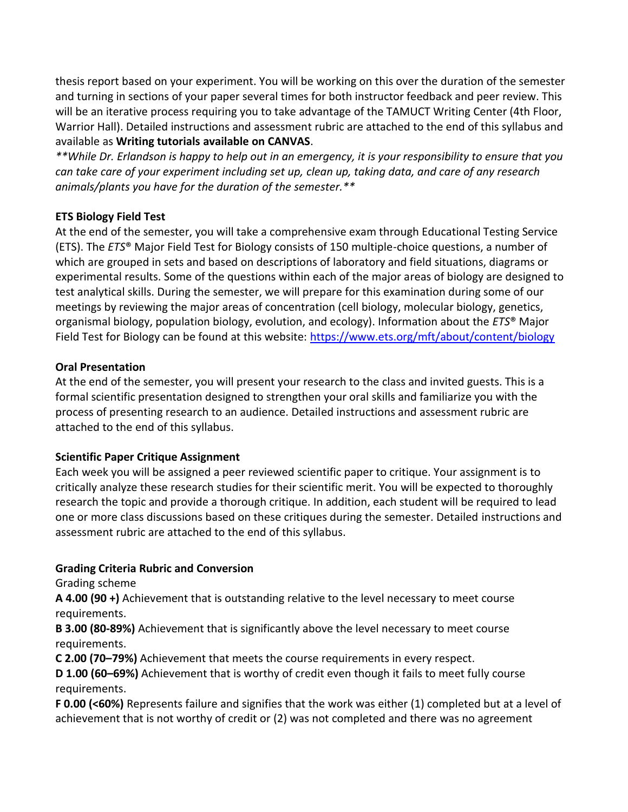thesis report based on your experiment. You will be working on this over the duration of the semester and turning in sections of your paper several times for both instructor feedback and peer review. This will be an iterative process requiring you to take advantage of the TAMUCT Writing Center (4th Floor, Warrior Hall). Detailed instructions and assessment rubric are attached to the end of this syllabus and available as **Writing tutorials available on CANVAS**.

*\*\*While Dr. Erlandson is happy to help out in an emergency, it is your responsibility to ensure that you can take care of your experiment including set up, clean up, taking data, and care of any research animals/plants you have for the duration of the semester.\*\**

## **ETS Biology Field Test**

At the end of the semester, you will take a comprehensive exam through Educational Testing Service (ETS). The *ETS*® Major Field Test for Biology consists of 150 multiple-choice questions, a number of which are grouped in sets and based on descriptions of laboratory and field situations, diagrams or experimental results. Some of the questions within each of the major areas of biology are designed to test analytical skills. During the semester, we will prepare for this examination during some of our meetings by reviewing the major areas of concentration (cell biology, molecular biology, genetics, organismal biology, population biology, evolution, and ecology). Information about the *ETS*® Major Field Test for Biology can be found at this website:<https://www.ets.org/mft/about/content/biology>

## **Oral Presentation**

At the end of the semester, you will present your research to the class and invited guests. This is a formal scientific presentation designed to strengthen your oral skills and familiarize you with the process of presenting research to an audience. Detailed instructions and assessment rubric are attached to the end of this syllabus.

## **Scientific Paper Critique Assignment**

Each week you will be assigned a peer reviewed scientific paper to critique. Your assignment is to critically analyze these research studies for their scientific merit. You will be expected to thoroughly research the topic and provide a thorough critique. In addition, each student will be required to lead one or more class discussions based on these critiques during the semester. Detailed instructions and assessment rubric are attached to the end of this syllabus.

## **Grading Criteria Rubric and Conversion**

Grading scheme

**A 4.00 (90 +)** Achievement that is outstanding relative to the level necessary to meet course requirements.

**B 3.00 (80-89%)** Achievement that is significantly above the level necessary to meet course requirements.

**C 2.00 (70–79%)** Achievement that meets the course requirements in every respect.

**D 1.00 (60–69%)** Achievement that is worthy of credit even though it fails to meet fully course requirements.

**F 0.00 (<60%)** Represents failure and signifies that the work was either (1) completed but at a level of achievement that is not worthy of credit or (2) was not completed and there was no agreement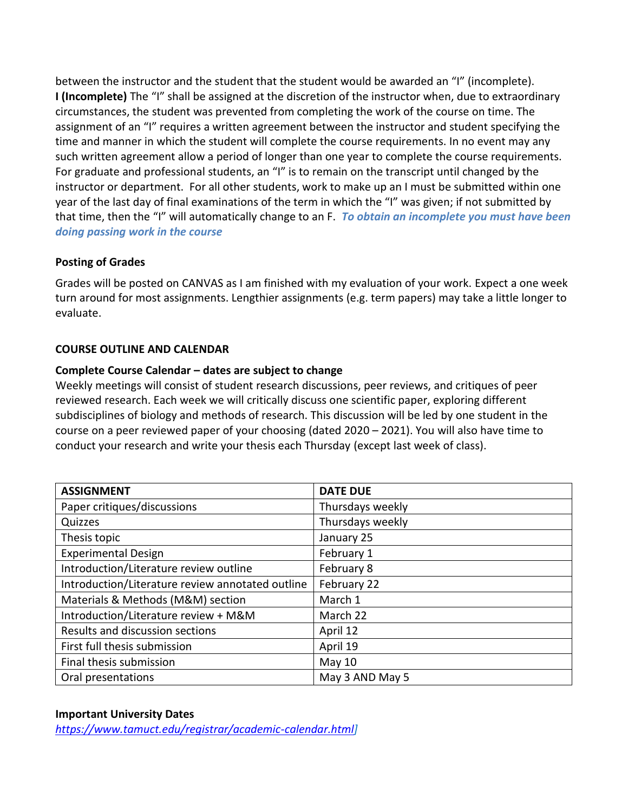between the instructor and the student that the student would be awarded an "I" (incomplete). **I (Incomplete)** The "I" shall be assigned at the discretion of the instructor when, due to extraordinary circumstances, the student was prevented from completing the work of the course on time. The assignment of an "I" requires a written agreement between the instructor and student specifying the time and manner in which the student will complete the course requirements. In no event may any such written agreement allow a period of longer than one year to complete the course requirements. For graduate and professional students, an "I" is to remain on the transcript until changed by the instructor or department. For all other students, work to make up an I must be submitted within one year of the last day of final examinations of the term in which the "I" was given; if not submitted by that time, then the "I" will automatically change to an F. *To obtain an incomplete you must have been doing passing work in the course*

## **Posting of Grades**

Grades will be posted on CANVAS as I am finished with my evaluation of your work. Expect a one week turn around for most assignments. Lengthier assignments (e.g. term papers) may take a little longer to evaluate.

## **COURSE OUTLINE AND CALENDAR**

## **Complete Course Calendar – dates are subject to change**

Weekly meetings will consist of student research discussions, peer reviews, and critiques of peer reviewed research. Each week we will critically discuss one scientific paper, exploring different subdisciplines of biology and methods of research. This discussion will be led by one student in the course on a peer reviewed paper of your choosing (dated 2020 – 2021). You will also have time to conduct your research and write your thesis each Thursday (except last week of class).

| <b>ASSIGNMENT</b>                                | <b>DATE DUE</b>  |
|--------------------------------------------------|------------------|
| Paper critiques/discussions                      | Thursdays weekly |
| Quizzes                                          | Thursdays weekly |
| Thesis topic                                     | January 25       |
| <b>Experimental Design</b>                       | February 1       |
| Introduction/Literature review outline           | February 8       |
| Introduction/Literature review annotated outline | February 22      |
| Materials & Methods (M&M) section                | March 1          |
| Introduction/Literature review + M&M             | March 22         |
| Results and discussion sections                  | April 12         |
| First full thesis submission                     | April 19         |
| Final thesis submission                          | <b>May 10</b>    |
| Oral presentations                               | May 3 AND May 5  |

#### **Important University Dates**

*[https://www.tamuct.edu/registrar/academic-calendar.html\]](https://www.tamuct.edu/registrar/academic-calendar.html)*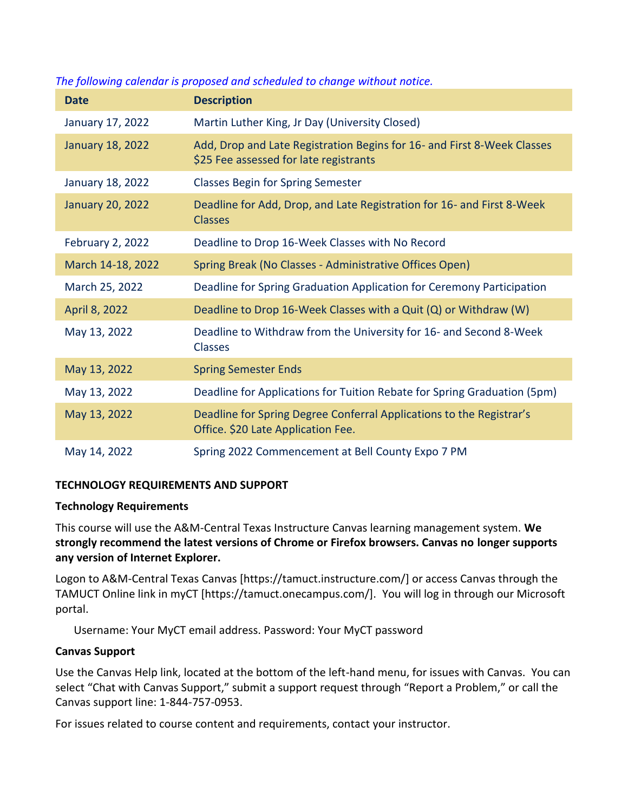| <b>Date</b>             | <b>Description</b>                                                                                                |
|-------------------------|-------------------------------------------------------------------------------------------------------------------|
| January 17, 2022        | Martin Luther King, Jr Day (University Closed)                                                                    |
| <b>January 18, 2022</b> | Add, Drop and Late Registration Begins for 16- and First 8-Week Classes<br>\$25 Fee assessed for late registrants |
| January 18, 2022        | <b>Classes Begin for Spring Semester</b>                                                                          |
| <b>January 20, 2022</b> | Deadline for Add, Drop, and Late Registration for 16- and First 8-Week<br><b>Classes</b>                          |
| <b>February 2, 2022</b> | Deadline to Drop 16-Week Classes with No Record                                                                   |
| March 14-18, 2022       | Spring Break (No Classes - Administrative Offices Open)                                                           |
| March 25, 2022          | Deadline for Spring Graduation Application for Ceremony Participation                                             |
| April 8, 2022           | Deadline to Drop 16-Week Classes with a Quit (Q) or Withdraw (W)                                                  |
| May 13, 2022            | Deadline to Withdraw from the University for 16- and Second 8-Week<br><b>Classes</b>                              |
| May 13, 2022            | <b>Spring Semester Ends</b>                                                                                       |
| May 13, 2022            | Deadline for Applications for Tuition Rebate for Spring Graduation (5pm)                                          |
| May 13, 2022            | Deadline for Spring Degree Conferral Applications to the Registrar's<br>Office. \$20 Late Application Fee.        |
| May 14, 2022            | Spring 2022 Commencement at Bell County Expo 7 PM                                                                 |

## *The following calendar is proposed and scheduled to change without notice.*

#### **TECHNOLOGY REQUIREMENTS AND SUPPORT**

#### **Technology Requirements**

This course will use the A&M-Central Texas Instructure Canvas learning management system. **We strongly recommend the latest versions of Chrome or Firefox browsers. Canvas no longer supports any version of Internet Explorer.**

Logon to A&M-Central Texas Canvas [https://tamuct.instructure.com/] or access Canvas through the TAMUCT Online link in myCT [https://tamuct.onecampus.com/]. You will log in through our Microsoft portal.

Username: Your MyCT email address. Password: Your MyCT password

#### **Canvas Support**

Use the Canvas Help link, located at the bottom of the left-hand menu, for issues with Canvas. You can select "Chat with Canvas Support," submit a support request through "Report a Problem," or call the Canvas support line: 1-844-757-0953.

For issues related to course content and requirements, contact your instructor.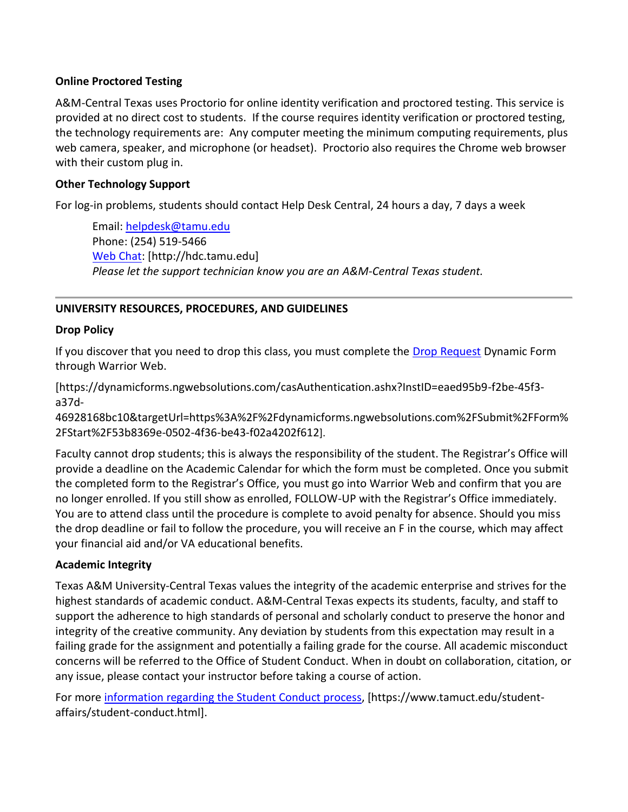## **Online Proctored Testing**

A&M-Central Texas uses Proctorio for online identity verification and proctored testing. This service is provided at no direct cost to students. If the course requires identity verification or proctored testing, the technology requirements are: Any computer meeting the minimum computing requirements, plus web camera, speaker, and microphone (or headset). Proctorio also requires the Chrome web browser with their custom plug in.

## **Other Technology Support**

For log-in problems, students should contact Help Desk Central, 24 hours a day, 7 days a week

Email: [helpdesk@tamu.edu](mailto:helpdesk@tamu.edu) Phone: (254) 519-5466 [Web Chat:](http://hdc.tamu.edu/) [http://hdc.tamu.edu] *Please let the support technician know you are an A&M-Central Texas student.*

## **UNIVERSITY RESOURCES, PROCEDURES, AND GUIDELINES**

#### **Drop Policy**

If you discover that you need to drop this class, you must complete the [Drop Request](https://dynamicforms.ngwebsolutions.com/casAuthentication.ashx?InstID=eaed95b9-f2be-45f3-a37d-46928168bc10&targetUrl=https%3A%2F%2Fdynamicforms.ngwebsolutions.com%2FSubmit%2FForm%2FStart%2F53b8369e-0502-4f36-be43-f02a4202f612) Dynamic Form through Warrior Web.

[https://dynamicforms.ngwebsolutions.com/casAuthentication.ashx?InstID=eaed95b9-f2be-45f3 a37d-

46928168bc10&targetUrl=https%3A%2F%2Fdynamicforms.ngwebsolutions.com%2FSubmit%2FForm% 2FStart%2F53b8369e-0502-4f36-be43-f02a4202f612].

Faculty cannot drop students; this is always the responsibility of the student. The Registrar's Office will provide a deadline on the Academic Calendar for which the form must be completed. Once you submit the completed form to the Registrar's Office, you must go into Warrior Web and confirm that you are no longer enrolled. If you still show as enrolled, FOLLOW-UP with the Registrar's Office immediately. You are to attend class until the procedure is complete to avoid penalty for absence. Should you miss the drop deadline or fail to follow the procedure, you will receive an F in the course, which may affect your financial aid and/or VA educational benefits.

#### **Academic Integrity**

Texas A&M University-Central Texas values the integrity of the academic enterprise and strives for the highest standards of academic conduct. A&M-Central Texas expects its students, faculty, and staff to support the adherence to high standards of personal and scholarly conduct to preserve the honor and integrity of the creative community. Any deviation by students from this expectation may result in a failing grade for the assignment and potentially a failing grade for the course. All academic misconduct concerns will be referred to the Office of Student Conduct. When in doubt on collaboration, citation, or any issue, please contact your instructor before taking a course of action.

For more [information](https://nam04.safelinks.protection.outlook.com/?url=https%3A%2F%2Fwww.tamuct.edu%2Fstudent-affairs%2Fstudent-conduct.html&data=04%7C01%7Clisa.bunkowski%40tamuct.edu%7Ccfb6e486f24745f53e1a08d910055cb2%7C9eed4e3000f744849ff193ad8005acec%7C0%7C0%7C637558437485252160%7CUnknown%7CTWFpbGZsb3d8eyJWIjoiMC4wLjAwMDAiLCJQIjoiV2luMzIiLCJBTiI6Ik1haWwiLCJXVCI6Mn0%3D%7C1000&sdata=yjftDEVHvLX%2FhM%2FcFU0B99krV1RgEWR%2BJ%2BhvtoR6TYk%3D&reserved=0) regarding the Student Conduct process, [https://www.tamuct.edu/studentaffairs/student-conduct.html].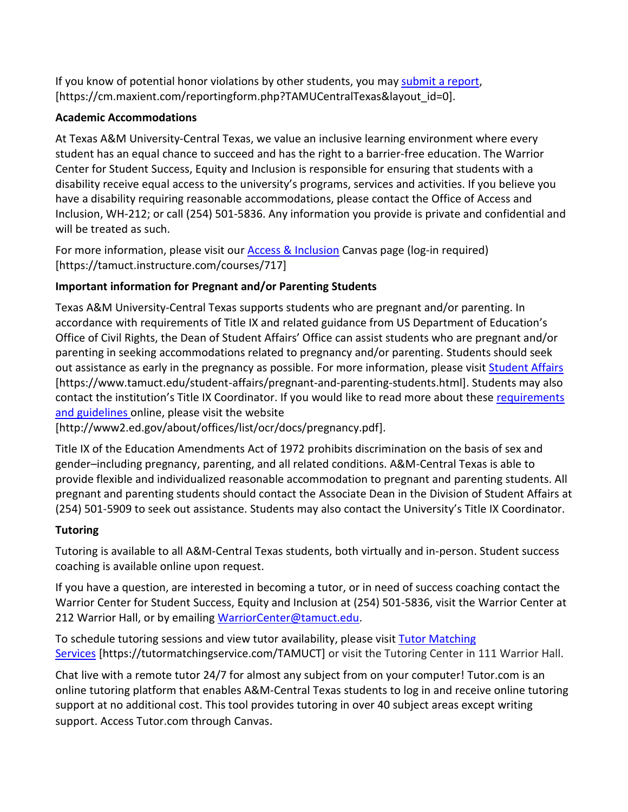If you know of potential honor violations by other students, you may [submit](https://nam04.safelinks.protection.outlook.com/?url=https%3A%2F%2Fcm.maxient.com%2Freportingform.php%3FTAMUCentralTexas%26layout_id%3D0&data=04%7C01%7Clisa.bunkowski%40tamuct.edu%7Ccfb6e486f24745f53e1a08d910055cb2%7C9eed4e3000f744849ff193ad8005acec%7C0%7C0%7C637558437485262157%7CUnknown%7CTWFpbGZsb3d8eyJWIjoiMC4wLjAwMDAiLCJQIjoiV2luMzIiLCJBTiI6Ik1haWwiLCJXVCI6Mn0%3D%7C1000&sdata=CXGkOa6uPDPX1IMZ87z3aZDq2n91xfHKu4MMS43Ejjk%3D&reserved=0) a report, [https://cm.maxient.com/reportingform.php?TAMUCentralTexas&layout\_id=0].

## **Academic Accommodations**

At Texas A&M University-Central Texas, we value an inclusive learning environment where every student has an equal chance to succeed and has the right to a barrier-free education. The Warrior Center for Student Success, Equity and Inclusion is responsible for ensuring that students with a disability receive equal access to the university's programs, services and activities. If you believe you have a disability requiring reasonable accommodations, please contact the Office of Access and Inclusion, WH-212; or call (254) 501-5836. Any information you provide is private and confidential and will be treated as such.

For more information, please visit our [Access & Inclusion](https://tamuct.instructure.com/courses/717) Canvas page (log-in required) [https://tamuct.instructure.com/courses/717]

## **Important information for Pregnant and/or Parenting Students**

Texas A&M University-Central Texas supports students who are pregnant and/or parenting. In accordance with requirements of Title IX and related guidance from US Department of Education's Office of Civil Rights, the Dean of Student Affairs' Office can assist students who are pregnant and/or parenting in seeking accommodations related to pregnancy and/or parenting. Students should seek out assistance as early in the pregnancy as possible. For more information, please visit [Student Affairs](https://www.tamuct.edu/student-affairs/pregnant-and-parenting-students.html) [https://www.tamuct.edu/student-affairs/pregnant-and-parenting-students.html]. Students may also contact the institution's Title IX Coordinator. If you would like to read more about these [requirements](http://www2.ed.gov/about/offices/list/ocr/docs/pregnancy.pdf)  [and guidelines](http://www2.ed.gov/about/offices/list/ocr/docs/pregnancy.pdf) online, please visit the website

[http://www2.ed.gov/about/offices/list/ocr/docs/pregnancy.pdf].

Title IX of the Education Amendments Act of 1972 prohibits discrimination on the basis of sex and gender–including pregnancy, parenting, and all related conditions. A&M-Central Texas is able to provide flexible and individualized reasonable accommodation to pregnant and parenting students. All pregnant and parenting students should contact the Associate Dean in the Division of Student Affairs at (254) 501-5909 to seek out assistance. Students may also contact the University's Title IX Coordinator.

## **Tutoring**

Tutoring is available to all A&M-Central Texas students, both virtually and in-person. Student success coaching is available online upon request.

If you have a question, are interested in becoming a tutor, or in need of success coaching contact the Warrior Center for Student Success, Equity and Inclusion at (254) 501-5836, visit the Warrior Center at 212 Warrior Hall, or by emailing [WarriorCenter@tamuct.edu.](mailto:WarriorCenter@tamuct.edu)

To schedule tutoring sessions and view tutor availability, please visit Tutor [Matching](https://tutormatchingservice.com/TAMUCT) [Services](https://tutormatchingservice.com/TAMUCT) [https://tutormatchingservice.com/TAMUCT] or visit the Tutoring Center in 111 Warrior Hall.

Chat live with a remote tutor 24/7 for almost any subject from on your computer! Tutor.com is an online tutoring platform that enables A&M-Central Texas students to log in and receive online tutoring support at no additional cost. This tool provides tutoring in over 40 subject areas except writing support. Access Tutor.com through Canvas.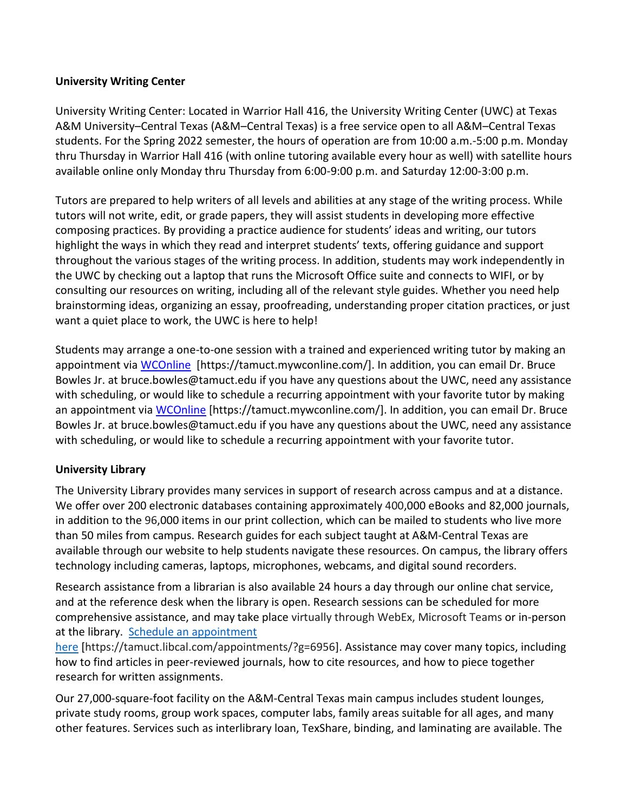## **University Writing Center**

University Writing Center: Located in Warrior Hall 416, the University Writing Center (UWC) at Texas A&M University–Central Texas (A&M–Central Texas) is a free service open to all A&M–Central Texas students. For the Spring 2022 semester, the hours of operation are from 10:00 a.m.-5:00 p.m. Monday thru Thursday in Warrior Hall 416 (with online tutoring available every hour as well) with satellite hours available online only Monday thru Thursday from 6:00-9:00 p.m. and Saturday 12:00-3:00 p.m.

Tutors are prepared to help writers of all levels and abilities at any stage of the writing process. While tutors will not write, edit, or grade papers, they will assist students in developing more effective composing practices. By providing a practice audience for students' ideas and writing, our tutors highlight the ways in which they read and interpret students' texts, offering guidance and support throughout the various stages of the writing process. In addition, students may work independently in the UWC by checking out a laptop that runs the Microsoft Office suite and connects to WIFI, or by consulting our resources on writing, including all of the relevant style guides. Whether you need help brainstorming ideas, organizing an essay, proofreading, understanding proper citation practices, or just want a quiet place to work, the UWC is here to help!

Students may arrange a one-to-one session with a trained and experienced writing tutor by making an appointment via [WCOnline](https://tamuct.mywconline.com/) [https://tamuct.mywconline.com/]. In addition, you can email Dr. Bruce Bowles Jr. at bruce.bowles@tamuct.edu if you have any questions about the UWC, need any assistance with scheduling, or would like to schedule a recurring appointment with your favorite tutor by making an appointment via [WCOnline](https://tamuct.mywconline.com/) [https://tamuct.mywconline.com/]. In addition, you can email Dr. Bruce Bowles Jr. at bruce.bowles@tamuct.edu if you have any questions about the UWC, need any assistance with scheduling, or would like to schedule a recurring appointment with your favorite tutor.

## **University Library**

The University Library provides many services in support of research across campus and at a distance. We offer over 200 electronic databases containing approximately 400,000 eBooks and 82,000 journals, in addition to the 96,000 items in our print collection, which can be mailed to students who live more than 50 miles from campus. Research guides for each subject taught at A&M-Central Texas are available through our website to help students navigate these resources. On campus, the library offers technology including cameras, laptops, microphones, webcams, and digital sound recorders.

Research assistance from a librarian is also available 24 hours a day through our online chat service, and at the reference desk when the library is open. Research sessions can be scheduled for more comprehensive assistance, and may take place virtually through WebEx, Microsoft Teams or in-person at the library. Schedule an [appointment](https://nam04.safelinks.protection.outlook.com/?url=https%3A%2F%2Ftamuct.libcal.com%2Fappointments%2F%3Fg%3D6956&data=04%7C01%7Clisa.bunkowski%40tamuct.edu%7Cde2c07d9f5804f09518008d9ab7ba6ff%7C9eed4e3000f744849ff193ad8005acec%7C0%7C0%7C637729369835011558%7CUnknown%7CTWFpbGZsb3d8eyJWIjoiMC4wLjAwMDAiLCJQIjoiV2luMzIiLCJBTiI6Ik1haWwiLCJXVCI6Mn0%3D%7C3000&sdata=KhtjgRSAw9aq%2FoBsB6wyu8b7PSuGN5EGPypzr3Ty2No%3D&reserved=0)

[here](https://nam04.safelinks.protection.outlook.com/?url=https%3A%2F%2Ftamuct.libcal.com%2Fappointments%2F%3Fg%3D6956&data=04%7C01%7Clisa.bunkowski%40tamuct.edu%7Cde2c07d9f5804f09518008d9ab7ba6ff%7C9eed4e3000f744849ff193ad8005acec%7C0%7C0%7C637729369835011558%7CUnknown%7CTWFpbGZsb3d8eyJWIjoiMC4wLjAwMDAiLCJQIjoiV2luMzIiLCJBTiI6Ik1haWwiLCJXVCI6Mn0%3D%7C3000&sdata=KhtjgRSAw9aq%2FoBsB6wyu8b7PSuGN5EGPypzr3Ty2No%3D&reserved=0) [https://tamuct.libcal.com/appointments/?g=6956]. Assistance may cover many topics, including how to find articles in peer-reviewed journals, how to cite resources, and how to piece together research for written assignments.

Our 27,000-square-foot facility on the A&M-Central Texas main campus includes student lounges, private study rooms, group work spaces, computer labs, family areas suitable for all ages, and many other features. Services such as interlibrary loan, TexShare, binding, and laminating are available. The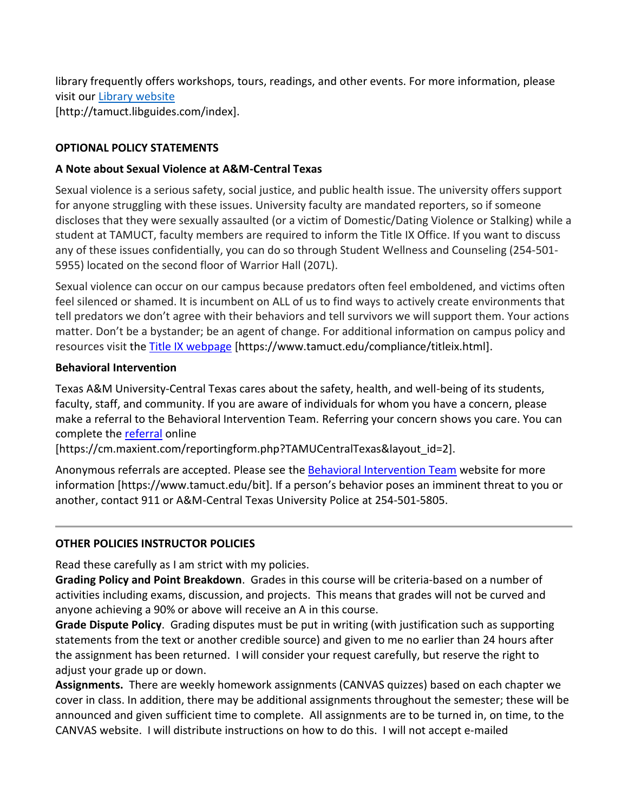library frequently offers workshops, tours, readings, and other events. For more information, please visit our Library [website](https://nam04.safelinks.protection.outlook.com/?url=https%3A%2F%2Ftamuct.libguides.com%2Findex&data=04%7C01%7Clisa.bunkowski%40tamuct.edu%7C7d8489e8839a4915335f08d916f067f2%7C9eed4e3000f744849ff193ad8005acec%7C0%7C0%7C637566044056484222%7CUnknown%7CTWFpbGZsb3d8eyJWIjoiMC4wLjAwMDAiLCJQIjoiV2luMzIiLCJBTiI6Ik1haWwiLCJXVCI6Mn0%3D%7C1000&sdata=2R755V6rcIyedGrd4Os5rkgn1PvhHKU3kUV1vBKiHFo%3D&reserved=0) [http://tamuct.libguides.com/index].

## **OPTIONAL POLICY STATEMENTS**

## **A Note about Sexual Violence at A&M-Central Texas**

Sexual violence is a serious safety, social justice, and public health issue. The university offers support for anyone struggling with these issues. University faculty are mandated reporters, so if someone discloses that they were sexually assaulted (or a victim of Domestic/Dating Violence or Stalking) while a student at TAMUCT, faculty members are required to inform the Title IX Office. If you want to discuss any of these issues confidentially, you can do so through Student Wellness and Counseling (254-501- 5955) located on the second floor of Warrior Hall (207L).

Sexual violence can occur on our campus because predators often feel emboldened, and victims often feel silenced or shamed. It is incumbent on ALL of us to find ways to actively create environments that tell predators we don't agree with their behaviors and tell survivors we will support them. Your actions matter. Don't be a bystander; be an agent of change. For additional information on campus policy and resources visit the [Title IX webpage](https://www.tamuct.edu/compliance/titleix.html) [\[https://www.tamuct.edu/compliance/titleix.html\]](https://www.tamuct.edu/compliance/titleix.html).

### **Behavioral Intervention**

Texas A&M University-Central Texas cares about the safety, health, and well-being of its students, faculty, staff, and community. If you are aware of individuals for whom you have a concern, please make a referral to the Behavioral Intervention Team. Referring your concern shows you care. You can complete th[e referral](https://cm.maxient.com/reportingform.php?TAMUCentralTexas&layout_id=2) online

[https://cm.maxient.com/reportingform.php?TAMUCentralTexas&layout\_id=2].

Anonymous referrals are accepted. Please see the [Behavioral Intervention Team](https://www.tamuct.edu/bit) website for more information [https://www.tamuct.edu/bit]. If a person's behavior poses an imminent threat to you or another, contact 911 or A&M-Central Texas University Police at 254-501-5805.

## **OTHER POLICIES INSTRUCTOR POLICIES**

Read these carefully as I am strict with my policies.

**Grading Policy and Point Breakdown**. Grades in this course will be criteria-based on a number of activities including exams, discussion, and projects. This means that grades will not be curved and anyone achieving a 90% or above will receive an A in this course.

**Grade Dispute Policy**. Grading disputes must be put in writing (with justification such as supporting statements from the text or another credible source) and given to me no earlier than 24 hours after the assignment has been returned. I will consider your request carefully, but reserve the right to adjust your grade up or down.

**Assignments.** There are weekly homework assignments (CANVAS quizzes) based on each chapter we cover in class. In addition, there may be additional assignments throughout the semester; these will be announced and given sufficient time to complete. All assignments are to be turned in, on time, to the CANVAS website. I will distribute instructions on how to do this. I will not accept e-mailed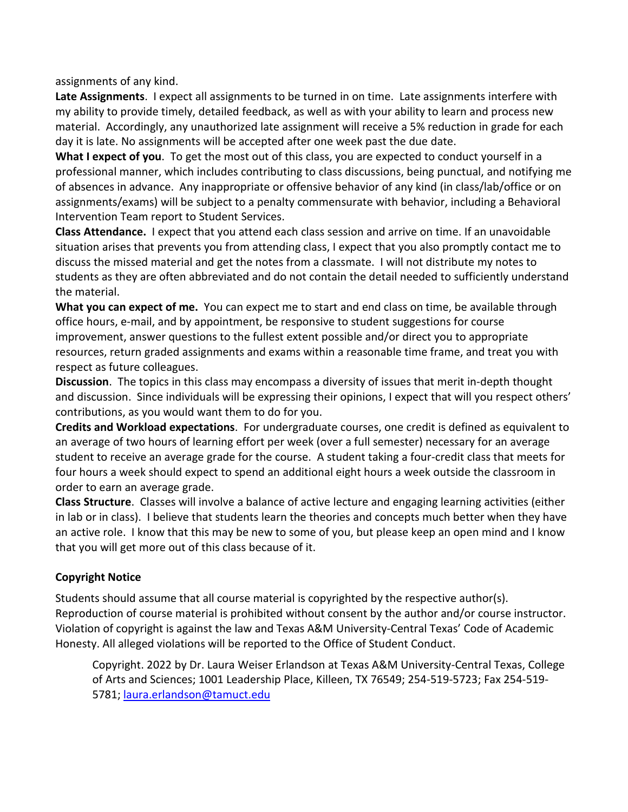assignments of any kind.

**Late Assignments**. I expect all assignments to be turned in on time. Late assignments interfere with my ability to provide timely, detailed feedback, as well as with your ability to learn and process new material. Accordingly, any unauthorized late assignment will receive a 5% reduction in grade for each day it is late. No assignments will be accepted after one week past the due date.

**What I expect of you**. To get the most out of this class, you are expected to conduct yourself in a professional manner, which includes contributing to class discussions, being punctual, and notifying me of absences in advance. Any inappropriate or offensive behavior of any kind (in class/lab/office or on assignments/exams) will be subject to a penalty commensurate with behavior, including a Behavioral Intervention Team report to Student Services.

**Class Attendance.** I expect that you attend each class session and arrive on time. If an unavoidable situation arises that prevents you from attending class, I expect that you also promptly contact me to discuss the missed material and get the notes from a classmate. I will not distribute my notes to students as they are often abbreviated and do not contain the detail needed to sufficiently understand the material.

**What you can expect of me.** You can expect me to start and end class on time, be available through office hours, e-mail, and by appointment, be responsive to student suggestions for course improvement, answer questions to the fullest extent possible and/or direct you to appropriate resources, return graded assignments and exams within a reasonable time frame, and treat you with respect as future colleagues.

**Discussion**. The topics in this class may encompass a diversity of issues that merit in-depth thought and discussion. Since individuals will be expressing their opinions, I expect that will you respect others' contributions, as you would want them to do for you.

**Credits and Workload expectations**. For undergraduate courses, one credit is defined as equivalent to an average of two hours of learning effort per week (over a full semester) necessary for an average student to receive an average grade for the course. A student taking a four-credit class that meets for four hours a week should expect to spend an additional eight hours a week outside the classroom in order to earn an average grade.

**Class Structure**. Classes will involve a balance of active lecture and engaging learning activities (either in lab or in class). I believe that students learn the theories and concepts much better when they have an active role. I know that this may be new to some of you, but please keep an open mind and I know that you will get more out of this class because of it.

## **Copyright Notice**

Students should assume that all course material is copyrighted by the respective author(s). Reproduction of course material is prohibited without consent by the author and/or course instructor. Violation of copyright is against the law and Texas A&M University-Central Texas' Code of Academic Honesty. All alleged violations will be reported to the Office of Student Conduct.

Copyright. 2022 by Dr. Laura Weiser Erlandson at Texas A&M University-Central Texas, College of Arts and Sciences; 1001 Leadership Place, Killeen, TX 76549; 254-519-5723; Fax 254-519- 5781; [laura.erlandson@tamuct.edu](mailto:laura.erlandson@tamuct.edu)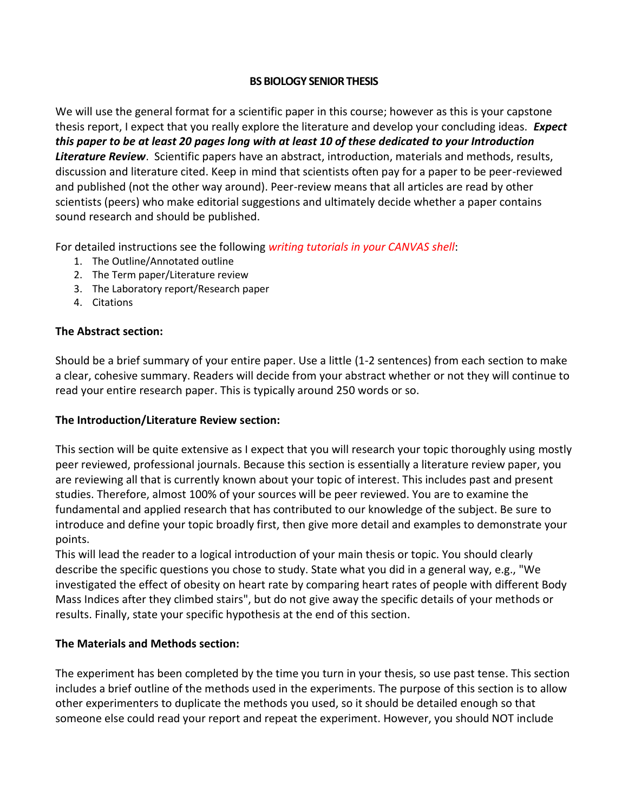## **BS BIOLOGY SENIOR THESIS**

We will use the general format for a scientific paper in this course; however as this is your capstone thesis report, I expect that you really explore the literature and develop your concluding ideas. *Expect this paper to be at least 20 pages long with at least 10 of these dedicated to your Introduction Literature Review*. Scientific papers have an abstract, introduction, materials and methods, results, discussion and literature cited. Keep in mind that scientists often pay for a paper to be peer-reviewed and published (not the other way around). Peer-review means that all articles are read by other scientists (peers) who make editorial suggestions and ultimately decide whether a paper contains sound research and should be published.

For detailed instructions see the following *writing tutorials in your CANVAS shell*:

- 1. The Outline/Annotated outline
- 2. The Term paper/Literature review
- 3. The Laboratory report/Research paper
- 4. Citations

### **The Abstract section:**

Should be a brief summary of your entire paper. Use a little (1-2 sentences) from each section to make a clear, cohesive summary. Readers will decide from your abstract whether or not they will continue to read your entire research paper. This is typically around 250 words or so.

#### **The Introduction/Literature Review section:**

This section will be quite extensive as I expect that you will research your topic thoroughly using mostly peer reviewed, professional journals. Because this section is essentially a literature review paper, you are reviewing all that is currently known about your topic of interest. This includes past and present studies. Therefore, almost 100% of your sources will be peer reviewed. You are to examine the fundamental and applied research that has contributed to our knowledge of the subject. Be sure to introduce and define your topic broadly first, then give more detail and examples to demonstrate your points.

This will lead the reader to a logical introduction of your main thesis or topic. You should clearly describe the specific questions you chose to study. State what you did in a general way, e.g., "We investigated the effect of obesity on heart rate by comparing heart rates of people with different Body Mass Indices after they climbed stairs", but do not give away the specific details of your methods or results. Finally, state your specific hypothesis at the end of this section.

#### **The Materials and Methods section:**

The experiment has been completed by the time you turn in your thesis, so use past tense. This section includes a brief outline of the methods used in the experiments. The purpose of this section is to allow other experimenters to duplicate the methods you used, so it should be detailed enough so that someone else could read your report and repeat the experiment. However, you should NOT include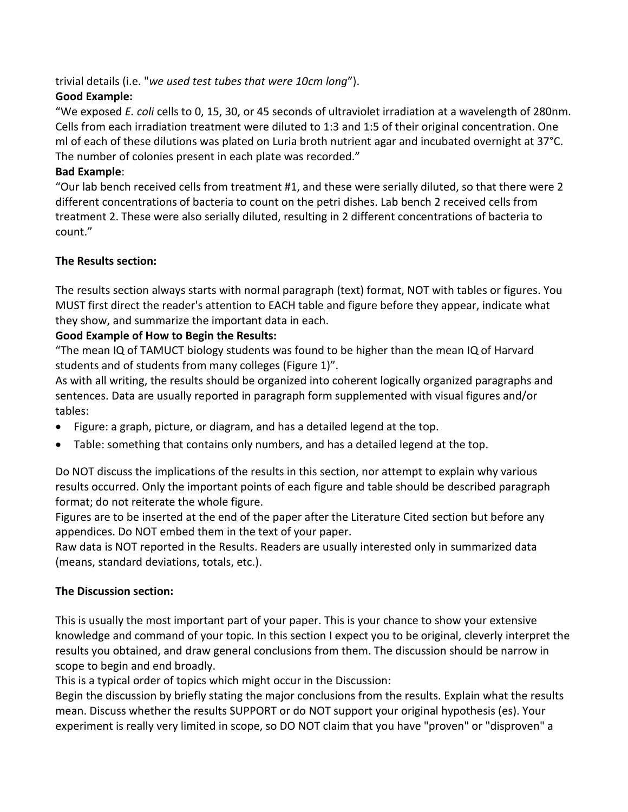trivial details (i.e. "*we used test tubes that were 10cm long*").

## **Good Example:**

"We exposed *E. coli* cells to 0, 15, 30, or 45 seconds of ultraviolet irradiation at a wavelength of 280nm. Cells from each irradiation treatment were diluted to 1:3 and 1:5 of their original concentration. One ml of each of these dilutions was plated on Luria broth nutrient agar and incubated overnight at 37°C. The number of colonies present in each plate was recorded."

## **Bad Example**:

"Our lab bench received cells from treatment #1, and these were serially diluted, so that there were 2 different concentrations of bacteria to count on the petri dishes. Lab bench 2 received cells from treatment 2. These were also serially diluted, resulting in 2 different concentrations of bacteria to count."

## **The Results section:**

The results section always starts with normal paragraph (text) format, NOT with tables or figures. You MUST first direct the reader's attention to EACH table and figure before they appear, indicate what they show, and summarize the important data in each.

## **Good Example of How to Begin the Results:**

"The mean IQ of TAMUCT biology students was found to be higher than the mean IQ of Harvard students and of students from many colleges (Figure 1)".

As with all writing, the results should be organized into coherent logically organized paragraphs and sentences. Data are usually reported in paragraph form supplemented with visual figures and/or tables:

- Figure: a graph, picture, or diagram, and has a detailed legend at the top.
- Table: something that contains only numbers, and has a detailed legend at the top.

Do NOT discuss the implications of the results in this section, nor attempt to explain why various results occurred. Only the important points of each figure and table should be described paragraph format; do not reiterate the whole figure.

Figures are to be inserted at the end of the paper after the Literature Cited section but before any appendices. Do NOT embed them in the text of your paper.

Raw data is NOT reported in the Results. Readers are usually interested only in summarized data (means, standard deviations, totals, etc.).

## **The Discussion section:**

This is usually the most important part of your paper. This is your chance to show your extensive knowledge and command of your topic. In this section I expect you to be original, cleverly interpret the results you obtained, and draw general conclusions from them. The discussion should be narrow in scope to begin and end broadly.

This is a typical order of topics which might occur in the Discussion:

Begin the discussion by briefly stating the major conclusions from the results. Explain what the results mean. Discuss whether the results SUPPORT or do NOT support your original hypothesis (es). Your experiment is really very limited in scope, so DO NOT claim that you have "proven" or "disproven" a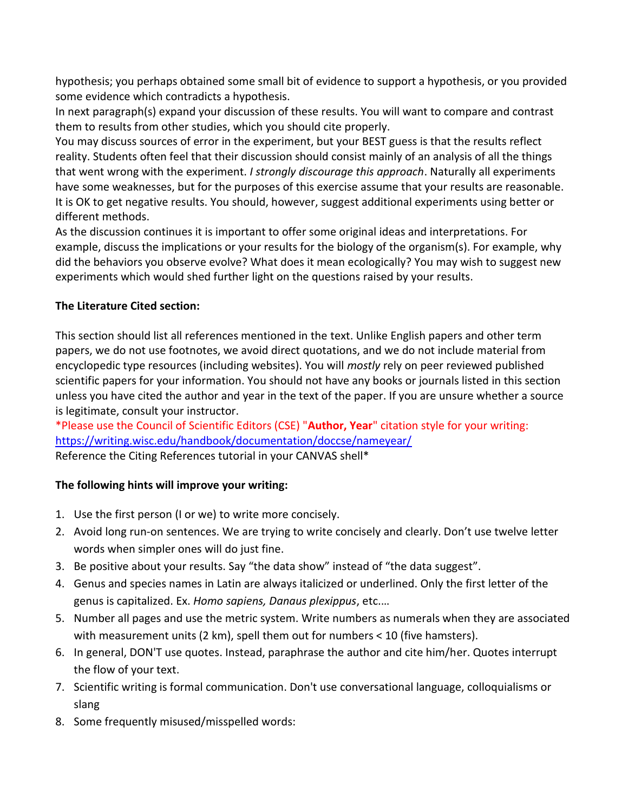hypothesis; you perhaps obtained some small bit of evidence to support a hypothesis, or you provided some evidence which contradicts a hypothesis.

In next paragraph(s) expand your discussion of these results. You will want to compare and contrast them to results from other studies, which you should cite properly.

You may discuss sources of error in the experiment, but your BEST guess is that the results reflect reality. Students often feel that their discussion should consist mainly of an analysis of all the things that went wrong with the experiment. *I strongly discourage this approach*. Naturally all experiments have some weaknesses, but for the purposes of this exercise assume that your results are reasonable. It is OK to get negative results. You should, however, suggest additional experiments using better or different methods.

As the discussion continues it is important to offer some original ideas and interpretations. For example, discuss the implications or your results for the biology of the organism(s). For example, why did the behaviors you observe evolve? What does it mean ecologically? You may wish to suggest new experiments which would shed further light on the questions raised by your results.

## **The Literature Cited section:**

This section should list all references mentioned in the text. Unlike English papers and other term papers, we do not use footnotes, we avoid direct quotations, and we do not include material from encyclopedic type resources (including websites). You will *mostly* rely on peer reviewed published scientific papers for your information. You should not have any books or journals listed in this section unless you have cited the author and year in the text of the paper. If you are unsure whether a source is legitimate, consult your instructor.

\*Please use the Council of Scientific Editors (CSE) "**Author, Year**" citation style for your writing: <https://writing.wisc.edu/handbook/documentation/doccse/nameyear/> Reference the Citing References tutorial in your CANVAS shell\*

## **The following hints will improve your writing:**

- 1. Use the first person (I or we) to write more concisely.
- 2. Avoid long run-on sentences. We are trying to write concisely and clearly. Don't use twelve letter words when simpler ones will do just fine.
- 3. Be positive about your results. Say "the data show" instead of "the data suggest".
- 4. Genus and species names in Latin are always italicized or underlined. Only the first letter of the genus is capitalized. Ex. *Homo sapiens, Danaus plexippus*, etc.…
- 5. Number all pages and use the metric system. Write numbers as numerals when they are associated with measurement units (2 km), spell them out for numbers < 10 (five hamsters).
- 6. In general, DON'T use quotes. Instead, paraphrase the author and cite him/her. Quotes interrupt the flow of your text.
- 7. Scientific writing is formal communication. Don't use conversational language, colloquialisms or slang
- 8. Some frequently misused/misspelled words: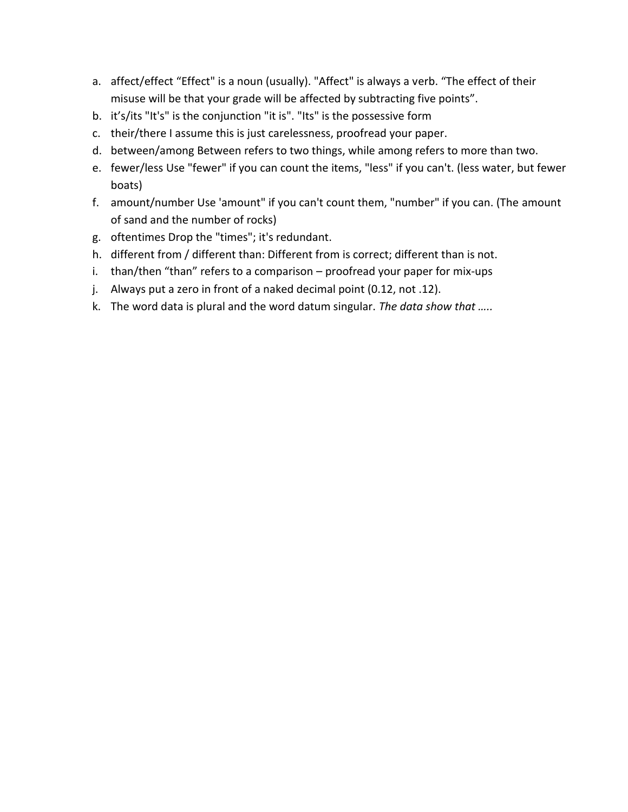- a. affect/effect "Effect" is a noun (usually). "Affect" is always a verb. "The effect of their misuse will be that your grade will be affected by subtracting five points".
- b. it's/its "It's" is the conjunction "it is". "Its" is the possessive form
- c. their/there I assume this is just carelessness, proofread your paper.
- d. between/among Between refers to two things, while among refers to more than two.
- e. fewer/less Use "fewer" if you can count the items, "less" if you can't. (less water, but fewer boats)
- f. amount/number Use 'amount" if you can't count them, "number" if you can. (The amount of sand and the number of rocks)
- g. oftentimes Drop the "times"; it's redundant.
- h. different from / different than: Different from is correct; different than is not.
- i. than/then "than" refers to a comparison proofread your paper for mix-ups
- j. Always put a zero in front of a naked decimal point (0.12, not .12).
- k. The word data is plural and the word datum singular. *The data show that …..*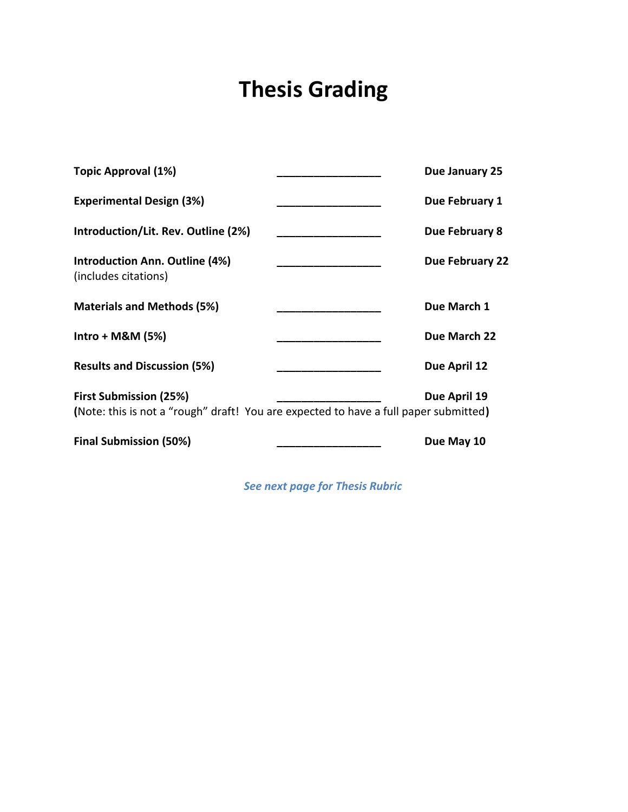# **Thesis Grading**

| <b>Final Submission (50%)</b>                                                        | Due May 10      |
|--------------------------------------------------------------------------------------|-----------------|
| (Note: this is not a "rough" draft! You are expected to have a full paper submitted) |                 |
| First Submission (25%)                                                               | Due April 19    |
| <b>Results and Discussion (5%)</b>                                                   | Due April 12    |
| $Intro + M&M (5%)$                                                                   | Due March 22    |
| <b>Materials and Methods (5%)</b>                                                    | Due March 1     |
| <b>Introduction Ann. Outline (4%)</b><br>(includes citations)                        | Due February 22 |
| Introduction/Lit. Rev. Outline (2%)                                                  | Due February 8  |
| <b>Experimental Design (3%)</b>                                                      | Due February 1  |
| Topic Approval (1%)                                                                  | Due January 25  |

*See next page for Thesis Rubric*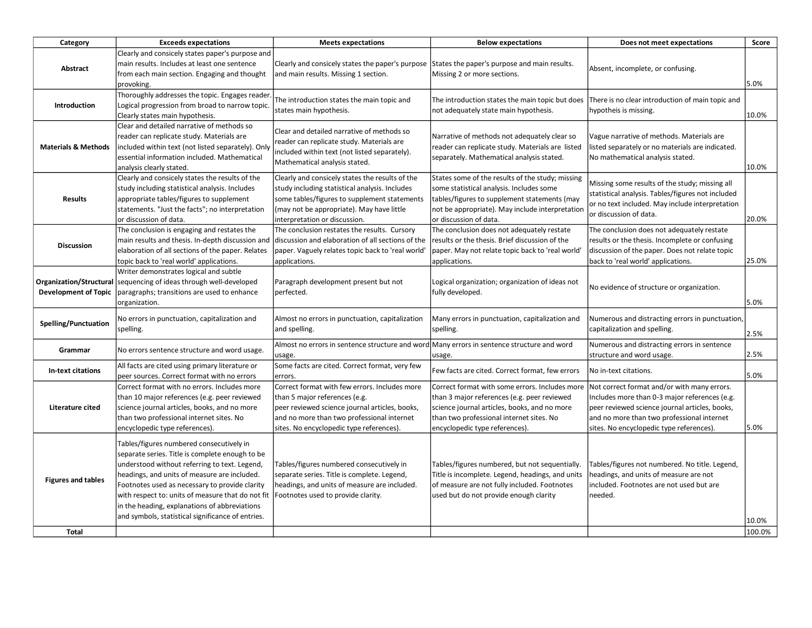| Category                                               | <b>Exceeds expectations</b>                                                                                                                                                                                                                                                                                                                                                                               | <b>Meets expectations</b>                                                                                                                                                                                                       | <b>Below expectations</b>                                                                                                                                                                                                   | Does not meet expectations                                                                                                                                                                                                               | Score           |
|--------------------------------------------------------|-----------------------------------------------------------------------------------------------------------------------------------------------------------------------------------------------------------------------------------------------------------------------------------------------------------------------------------------------------------------------------------------------------------|---------------------------------------------------------------------------------------------------------------------------------------------------------------------------------------------------------------------------------|-----------------------------------------------------------------------------------------------------------------------------------------------------------------------------------------------------------------------------|------------------------------------------------------------------------------------------------------------------------------------------------------------------------------------------------------------------------------------------|-----------------|
| Abstract                                               | Clearly and consicely states paper's purpose and<br>main results. Includes at least one sentence<br>from each main section. Engaging and thought<br>provoking.                                                                                                                                                                                                                                            | Clearly and consicely states the paper's purpose<br>and main results. Missing 1 section.                                                                                                                                        | States the paper's purpose and main results.<br>Missing 2 or more sections.                                                                                                                                                 | Absent, incomplete, or confusing.                                                                                                                                                                                                        | 5.0%            |
| Introduction                                           | Thoroughly addresses the topic. Engages reader<br>Logical progression from broad to narrow topic.<br>Clearly states main hypothesis.                                                                                                                                                                                                                                                                      | The introduction states the main topic and<br>states main hypothesis.                                                                                                                                                           | The introduction states the main topic but does<br>not adequately state main hypothesis.                                                                                                                                    | There is no clear introduction of main topic and<br>hypotheis is missing.                                                                                                                                                                | 10.0%           |
| <b>Materials &amp; Methods</b>                         | Clear and detailed narrative of methods so<br>reader can replicate study. Materials are<br>included within text (not listed separately). Only<br>essential information included. Mathematical<br>analysis clearly stated.                                                                                                                                                                                 | Clear and detailed narrative of methods so<br>reader can replicate study. Materials are<br>included within text (not listed separately).<br>Mathematical analysis stated.                                                       | Narrative of methods not adequately clear so<br>reader can replicate study. Materials are listed<br>separately. Mathematical analysis stated.                                                                               | Vague narrative of methods. Materials are<br>listed separately or no materials are indicated.<br>No mathematical analysis stated.                                                                                                        | 10.0%           |
| <b>Results</b>                                         | Clearly and consicely states the results of the<br>study including statistical analysis. Includes<br>appropriate tables/figures to supplement<br>statements. "Just the facts"; no interpretation<br>or discussion of data.                                                                                                                                                                                | Clearly and consicely states the results of the<br>study including statistical analysis. Includes<br>some tables/figures to supplement statements<br>(may not be appropriate). May have little<br>interpretation or discussion. | States some of the results of the study; missing<br>some statistical analysis. Includes some<br>tables/figures to supplement statements (may<br>not be appropriate). May include interpretation<br>or discussion of data.   | Missing some results of the study; missing all<br>statistical analysis. Tables/figures not included<br>or no text included. May include interpretation<br>or discussion of data.                                                         | 20.0%           |
| <b>Discussion</b>                                      | The conclusion is engaging and restates the<br>main results and thesis. In-depth discussion and<br>elaboration of all sections of the paper. Relates<br>topic back to 'real world' applications.                                                                                                                                                                                                          | The conclusion restates the results. Cursory<br>discussion and elaboration of all sections of the<br>paper. Vaguely relates topic back to 'real world'<br>applications.                                                         | The conclusion does not adequately restate<br>results or the thesis. Brief discussion of the<br>paper. May not relate topic back to 'real world'<br>applications.                                                           | The conclusion does not adequately restate<br>results or the thesis. Incomplete or confusing<br>discussion of the paper. Does not relate topic<br>back to 'real world' applications.                                                     | 25.0%           |
| Organization/Structural<br><b>Development of Topic</b> | Writer demonstrates logical and subtle<br>sequencing of ideas through well-developed<br>paragraphs; transitions are used to enhance<br>organization.                                                                                                                                                                                                                                                      | Paragraph development present but not<br>perfected.                                                                                                                                                                             | Logical organization; organization of ideas not<br>fully developed.                                                                                                                                                         | No evidence of structure or organization.                                                                                                                                                                                                | 5.0%            |
| Spelling/Punctuation                                   | No errors in punctuation, capitalization and<br>spelling.                                                                                                                                                                                                                                                                                                                                                 | Almost no errors in punctuation, capitalization<br>and spelling.                                                                                                                                                                | Many errors in punctuation, capitalization and<br>spelling.                                                                                                                                                                 | Numerous and distracting errors in punctuation,<br>capitalization and spelling.                                                                                                                                                          | 2.5%            |
| Grammar                                                | No errors sentence structure and word usage.                                                                                                                                                                                                                                                                                                                                                              | Almost no errors in sentence structure and word Many errors in sentence structure and word<br>usage.                                                                                                                            | usage.                                                                                                                                                                                                                      | Numerous and distracting errors in sentence<br>structure and word usage.                                                                                                                                                                 | 2.5%            |
| In-text citations                                      | All facts are cited using primary literature or<br>peer sources. Correct format with no errors                                                                                                                                                                                                                                                                                                            | Some facts are cited. Correct format, very few<br>errors.                                                                                                                                                                       | Few facts are cited. Correct format, few errors                                                                                                                                                                             | No in-text citations.                                                                                                                                                                                                                    | 5.0%            |
| Literature cited                                       | Correct format with no errors. Includes more<br>than 10 major references (e.g. peer reviewed<br>science journal articles, books, and no more<br>than two professional internet sites. No<br>encyclopedic type references).                                                                                                                                                                                | Correct format with few errors. Includes more<br>than 5 major references (e.g.<br>peer reviewed science journal articles, books,<br>and no more than two professional internet<br>sites. No encyclopedic type references).      | Correct format with some errors. Includes more<br>than 3 major references (e.g. peer reviewed<br>science journal articles, books, and no more<br>than two professional internet sites. No<br>encyclopedic type references). | Not correct format and/or with many errors.<br>Includes more than 0-3 major references (e.g.<br>peer reviewed science journal articles, books,<br>and no more than two professional internet<br>sites. No encyclopedic type references). | 5.0%            |
| <b>Figures and tables</b><br><b>Total</b>              | Tables/figures numbered consecutively in<br>separate series. Title is complete enough to be<br>understood without referring to text. Legend,<br>headings, and units of measure are included.<br>Footnotes used as necessary to provide clarity<br>with respect to: units of measure that do not fit<br>in the heading, explanations of abbreviations<br>and symbols, statistical significance of entries. | Tables/figures numbered consecutively in<br>separate series. Title is complete. Legend,<br>headings, and units of measure are included.<br>Footnotes used to provide clarity.                                                   | Tables/figures numbered, but not sequentially.<br>Title is incomplete. Legend, headings, and units<br>of measure are not fully included. Footnotes<br>used but do not provide enough clarity                                | Tables/figures not numbered. No title. Legend,<br>headings, and units of measure are not<br>included. Footnotes are not used but are<br>needed.                                                                                          | 10.0%<br>100.0% |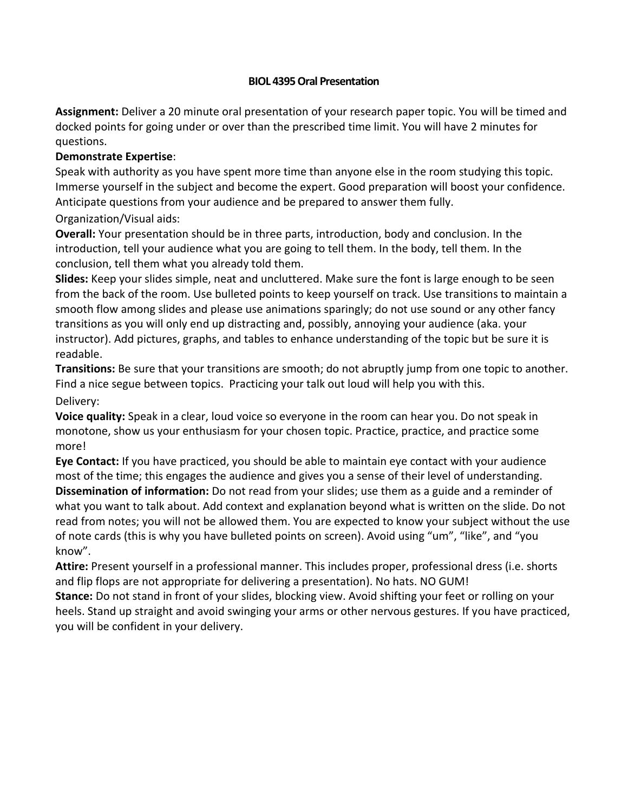### **BIOL 4395 Oral Presentation**

**Assignment:** Deliver a 20 minute oral presentation of your research paper topic. You will be timed and docked points for going under or over than the prescribed time limit. You will have 2 minutes for questions.

## **Demonstrate Expertise**:

Speak with authority as you have spent more time than anyone else in the room studying this topic. Immerse yourself in the subject and become the expert. Good preparation will boost your confidence. Anticipate questions from your audience and be prepared to answer them fully.

## Organization/Visual aids:

**Overall:** Your presentation should be in three parts, introduction, body and conclusion. In the introduction, tell your audience what you are going to tell them. In the body, tell them. In the conclusion, tell them what you already told them.

**Slides:** Keep your slides simple, neat and uncluttered. Make sure the font is large enough to be seen from the back of the room. Use bulleted points to keep yourself on track. Use transitions to maintain a smooth flow among slides and please use animations sparingly; do not use sound or any other fancy transitions as you will only end up distracting and, possibly, annoying your audience (aka. your instructor). Add pictures, graphs, and tables to enhance understanding of the topic but be sure it is readable.

**Transitions:** Be sure that your transitions are smooth; do not abruptly jump from one topic to another. Find a nice segue between topics. Practicing your talk out loud will help you with this. Delivery:

**Voice quality:** Speak in a clear, loud voice so everyone in the room can hear you. Do not speak in monotone, show us your enthusiasm for your chosen topic. Practice, practice, and practice some more!

**Eye Contact:** If you have practiced, you should be able to maintain eye contact with your audience most of the time; this engages the audience and gives you a sense of their level of understanding. **Dissemination of information:** Do not read from your slides; use them as a guide and a reminder of what you want to talk about. Add context and explanation beyond what is written on the slide. Do not read from notes; you will not be allowed them. You are expected to know your subject without the use of note cards (this is why you have bulleted points on screen). Avoid using "um", "like", and "you know".

**Attire:** Present yourself in a professional manner. This includes proper, professional dress (i.e. shorts and flip flops are not appropriate for delivering a presentation). No hats. NO GUM!

**Stance:** Do not stand in front of your slides, blocking view. Avoid shifting your feet or rolling on your heels. Stand up straight and avoid swinging your arms or other nervous gestures. If you have practiced, you will be confident in your delivery.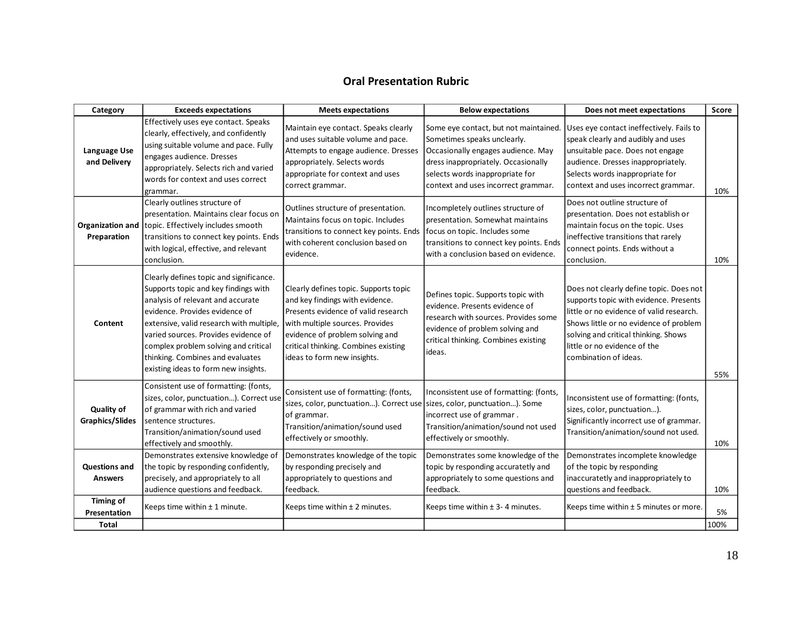## **Oral Presentation Rubric**

| Category                                    | <b>Exceeds expectations</b>                                                                                                                                                                                                                                                                                                                                    | <b>Meets expectations</b>                                                                                                                                                                                                                                    | <b>Below expectations</b>                                                                                                                                                                                                   | Does not meet expectations                                                                                                                                                                                                                                               | <b>Score</b> |
|---------------------------------------------|----------------------------------------------------------------------------------------------------------------------------------------------------------------------------------------------------------------------------------------------------------------------------------------------------------------------------------------------------------------|--------------------------------------------------------------------------------------------------------------------------------------------------------------------------------------------------------------------------------------------------------------|-----------------------------------------------------------------------------------------------------------------------------------------------------------------------------------------------------------------------------|--------------------------------------------------------------------------------------------------------------------------------------------------------------------------------------------------------------------------------------------------------------------------|--------------|
| <b>Language Use</b><br>and Delivery         | Effectively uses eye contact. Speaks<br>clearly, effectively, and confidently<br>using suitable volume and pace. Fully<br>engages audience. Dresses<br>appropriately. Selects rich and varied<br>words for context and uses correct<br>grammar.                                                                                                                | Maintain eye contact. Speaks clearly<br>and uses suitable volume and pace.<br>Attempts to engage audience. Dresses<br>appropriately. Selects words<br>appropriate for context and uses<br>correct grammar.                                                   | Some eye contact, but not maintained.<br>Sometimes speaks unclearly.<br>Occasionally engages audience. May<br>dress inappropriately. Occasionally<br>selects words inappropriate for<br>context and uses incorrect grammar. | Uses eye contact ineffectively. Fails to<br>speak clearly and audibly and uses<br>unsuitable pace. Does not engage<br>audience. Dresses inappropriately.<br>Selects words inappropriate for<br>context and uses incorrect grammar.                                       | 10%          |
| Preparation                                 | Clearly outlines structure of<br>presentation. Maintains clear focus on<br>Organization and topic. Effectively includes smooth<br>transitions to connect key points. Ends<br>with logical, effective, and relevant<br>conclusion.                                                                                                                              | Outlines structure of presentation.<br>Maintains focus on topic. Includes<br>transitions to connect key points. Ends<br>with coherent conclusion based on<br>evidence.                                                                                       | Incompletely outlines structure of<br>presentation. Somewhat maintains<br>focus on topic. Includes some<br>transitions to connect key points. Ends<br>with a conclusion based on evidence.                                  | Does not outline structure of<br>presentation. Does not establish or<br>maintain focus on the topic. Uses<br>ineffective transitions that rarely<br>connect points. Ends without a<br>conclusion.                                                                        | 10%          |
| Content                                     | Clearly defines topic and significance.<br>Supports topic and key findings with<br>analysis of relevant and accurate<br>evidence. Provides evidence of<br>extensive, valid research with multiple,<br>varied sources. Provides evidence of<br>complex problem solving and critical<br>thinking. Combines and evaluates<br>existing ideas to form new insights. | Clearly defines topic. Supports topic<br>and key findings with evidence.<br>Presents evidence of valid research<br>with multiple sources. Provides<br>evidence of problem solving and<br>critical thinking. Combines existing<br>ideas to form new insights. | Defines topic. Supports topic with<br>evidence. Presents evidence of<br>research with sources. Provides some<br>evidence of problem solving and<br>critical thinking. Combines existing<br>ideas.                           | Does not clearly define topic. Does not<br>supports topic with evidence. Presents<br>little or no evidence of valid research.<br>Shows little or no evidence of problem<br>solving and critical thinking. Shows<br>little or no evidence of the<br>combination of ideas. | 55%          |
| <b>Quality of</b><br><b>Graphics/Slides</b> | Consistent use of formatting: (fonts,<br>sizes, color, punctuation). Correct use<br>of grammar with rich and varied<br>sentence structures.<br>Transition/animation/sound used<br>effectively and smoothly.                                                                                                                                                    | Consistent use of formatting: (fonts,<br>sizes, color, punctuation). Correct use sizes, color, punctuation). Some<br>of grammar.<br>Transition/animation/sound used<br>effectively or smoothly.                                                              | Inconsistent use of formatting: (fonts,<br>incorrect use of grammar.<br>Transition/animation/sound not used<br>effectively or smoothly.                                                                                     | Inconsistent use of formatting: (fonts,<br>sizes, color, punctuation).<br>Significantly incorrect use of grammar.<br>Transition/animation/sound not used.                                                                                                                | 10%          |
| <b>Questions and</b><br><b>Answers</b>      | Demonstrates extensive knowledge of<br>the topic by responding confidently,<br>precisely, and appropriately to all<br>audience questions and feedback.                                                                                                                                                                                                         | Demonstrates knowledge of the topic<br>by responding precisely and<br>appropriately to questions and<br>feedback.                                                                                                                                            | Demonstrates some knowledge of the<br>topic by responding accuratetly and<br>appropriately to some questions and<br>feedback.                                                                                               | Demonstrates incomplete knowledge<br>of the topic by responding<br>inaccuratetly and inappropriately to<br>questions and feedback.                                                                                                                                       | 10%          |
| Timing of<br>Presentation<br>Total          | Keeps time within $\pm$ 1 minute.                                                                                                                                                                                                                                                                                                                              | Keeps time within ± 2 minutes.                                                                                                                                                                                                                               | Keeps time within ± 3-4 minutes.                                                                                                                                                                                            | Keeps time within $\pm$ 5 minutes or more.                                                                                                                                                                                                                               | 5%<br>100%   |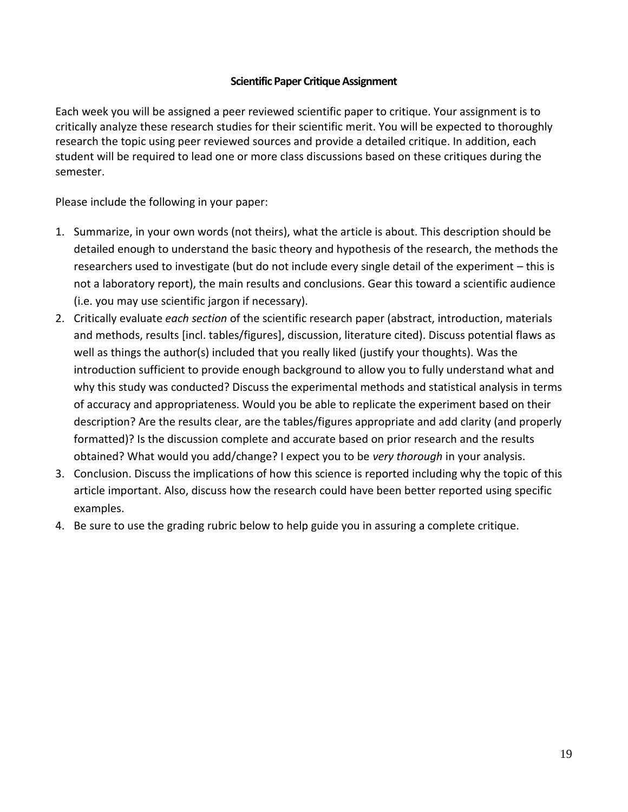### **Scientific Paper Critique Assignment**

Each week you will be assigned a peer reviewed scientific paper to critique. Your assignment is to critically analyze these research studies for their scientific merit. You will be expected to thoroughly research the topic using peer reviewed sources and provide a detailed critique. In addition, each student will be required to lead one or more class discussions based on these critiques during the semester.

Please include the following in your paper:

- 1. Summarize, in your own words (not theirs), what the article is about. This description should be detailed enough to understand the basic theory and hypothesis of the research, the methods the researchers used to investigate (but do not include every single detail of the experiment – this is not a laboratory report), the main results and conclusions. Gear this toward a scientific audience (i.e. you may use scientific jargon if necessary).
- 2. Critically evaluate *each section* of the scientific research paper (abstract, introduction, materials and methods, results [incl. tables/figures], discussion, literature cited). Discuss potential flaws as well as things the author(s) included that you really liked (justify your thoughts). Was the introduction sufficient to provide enough background to allow you to fully understand what and why this study was conducted? Discuss the experimental methods and statistical analysis in terms of accuracy and appropriateness. Would you be able to replicate the experiment based on their description? Are the results clear, are the tables/figures appropriate and add clarity (and properly formatted)? Is the discussion complete and accurate based on prior research and the results obtained? What would you add/change? I expect you to be *very thorough* in your analysis.
- 3. Conclusion. Discuss the implications of how this science is reported including why the topic of this article important. Also, discuss how the research could have been better reported using specific examples.
- 4. Be sure to use the grading rubric below to help guide you in assuring a complete critique.